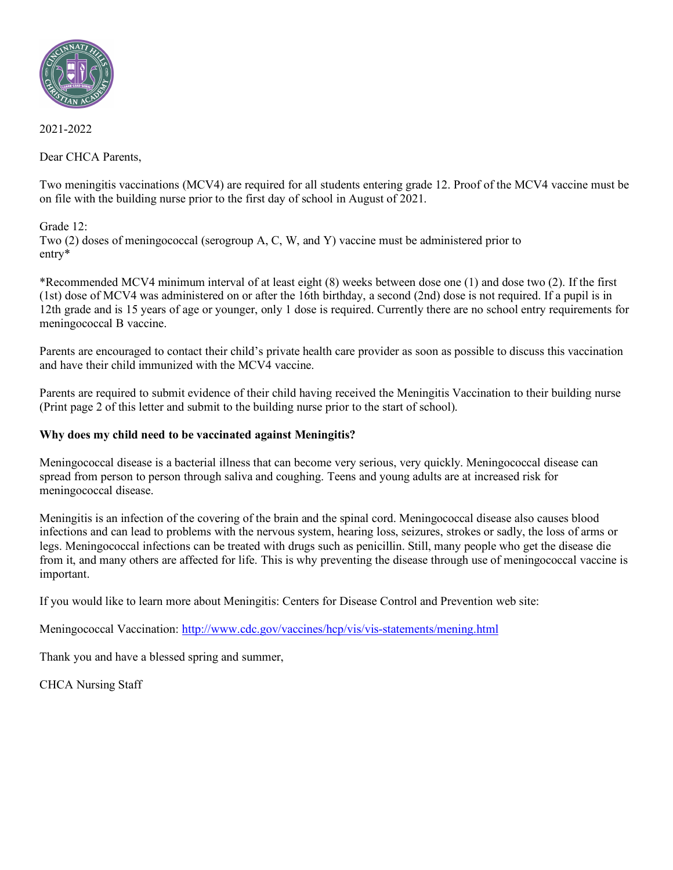

2021-2022

Dear CHCA Parents,

Two meningitis vaccinations (MCV4) are required for all students entering grade 12. Proof of the MCV4 vaccine must be on file with the building nurse prior to the first day of school in August of 2021.

Grade 12:

Two (2) doses of meningococcal (serogroup A, C, W, and Y) vaccine must be administered prior to entry\*

\*Recommended MCV4 minimum interval of at least eight (8) weeks between dose one (1) and dose two (2). If the first (1st) dose of MCV4 was administered on or after the 16th birthday, a second (2nd) dose is not required. If a pupil is in 12th grade and is 15 years of age or younger, only 1 dose is required. Currently there are no school entry requirements for meningococcal B vaccine.

Parents are encouraged to contact their child's private health care provider as soon as possible to discuss this vaccination and have their child immunized with the MCV4 vaccine.

Parents are required to submit evidence of their child having received the Meningitis Vaccination to their building nurse (Print page 2 of this letter and submit to the building nurse prior to the start of school).

## **Why does my child need to be vaccinated against Meningitis?**

Meningococcal disease is a bacterial illness that can become very serious, very quickly. Meningococcal disease can spread from person to person through saliva and coughing. Teens and young adults are at increased risk for meningococcal disease.

Meningitis is an infection of the covering of the brain and the spinal cord. Meningococcal disease also causes blood infections and can lead to problems with the nervous system, hearing loss, seizures, strokes or sadly, the loss of arms or legs. Meningococcal infections can be treated with drugs such as penicillin. Still, many people who get the disease die from it, and many others are affected for life. This is why preventing the disease through use of meningococcal vaccine is important.

If you would like to learn more about Meningitis: Centers for Disease Control and Prevention web site:

Meningococcal Vaccination:<http://www.cdc.gov/vaccines/hcp/vis/vis-statements/mening.html>

Thank you and have a blessed spring and summer,

CHCA Nursing Staff